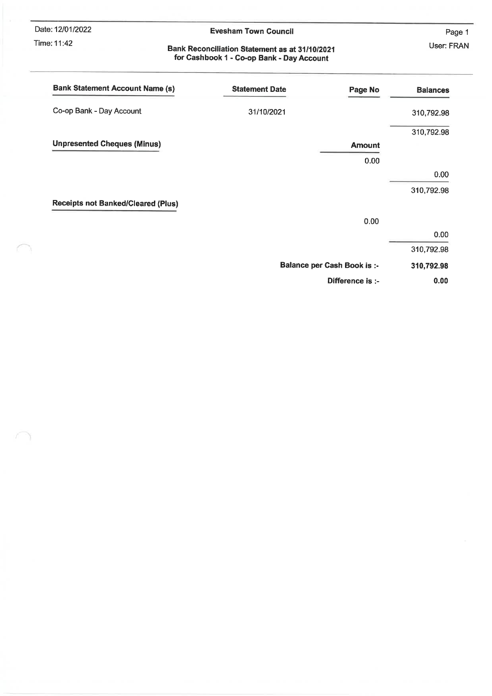Date: 12/01/2022

#### Time: 11:42

٦

10 Y

#### **Evesham Town Council**

Page 1 User: FRAN

# Bank Reconciliation Statement as at 31/10/2021<br>for Cashbook 1 - Co-op Bank - Day Account

| <b>Bank Statement Account Name (s)</b>    | <b>Statement Date</b> | Page No                            | <b>Balances</b> |
|-------------------------------------------|-----------------------|------------------------------------|-----------------|
| Co-op Bank - Day Account                  | 31/10/2021            |                                    | 310,792.98      |
|                                           |                       |                                    | 310,792.98      |
| <b>Unpresented Cheques (Minus)</b>        |                       | <b>Amount</b>                      |                 |
|                                           |                       | 0.00                               |                 |
|                                           |                       |                                    | 0.00            |
|                                           |                       |                                    | 310,792.98      |
| <b>Receipts not Banked/Cleared (Plus)</b> |                       |                                    |                 |
|                                           |                       | 0.00                               |                 |
|                                           |                       |                                    | 0.00            |
|                                           |                       |                                    | 310,792.98      |
|                                           |                       | <b>Balance per Cash Book is :-</b> | 310,792.98      |
|                                           |                       | Difference is :-                   | 0.00            |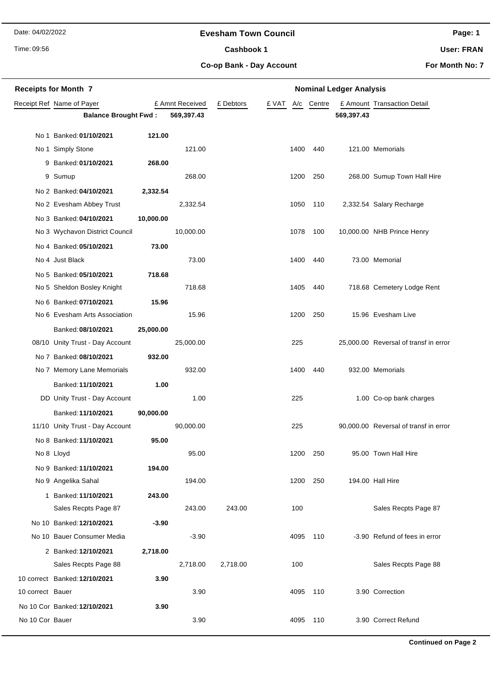#### **Evesham Town Council**

Time: 09:56

#### Cashbook 1

**Page: 1**

**User: FRAN**

**Co-op Bank - Day Account**

**For Month No: 7**

|                  | <b>Receipts for Month 7</b>     |           |                 | <b>Nominal Ledger Analysis</b> |  |      |                  |            |                                       |
|------------------|---------------------------------|-----------|-----------------|--------------------------------|--|------|------------------|------------|---------------------------------------|
|                  | Receipt Ref Name of Payer       |           | £ Amnt Received | £ Debtors                      |  |      | £ VAT A/c Centre |            | £ Amount Transaction Detail           |
|                  | <b>Balance Brought Fwd:</b>     |           | 569,397.43      |                                |  |      |                  | 569,397.43 |                                       |
|                  | No 1 Banked: 01/10/2021         | 121.00    |                 |                                |  |      |                  |            |                                       |
|                  | No 1 Simply Stone               |           | 121.00          |                                |  | 1400 | 440              |            | 121.00 Memorials                      |
|                  | 9 Banked: 01/10/2021            | 268.00    |                 |                                |  |      |                  |            |                                       |
|                  | 9 Sumup                         |           | 268.00          |                                |  | 1200 | 250              |            | 268.00 Sumup Town Hall Hire           |
|                  | No 2 Banked: 04/10/2021         | 2,332.54  |                 |                                |  |      |                  |            |                                       |
|                  | No 2 Evesham Abbey Trust        |           | 2,332.54        |                                |  | 1050 | 110              |            | 2,332.54 Salary Recharge              |
|                  | No 3 Banked: 04/10/2021         | 10,000.00 |                 |                                |  |      |                  |            |                                       |
|                  | No 3 Wychavon District Council  |           | 10,000.00       |                                |  | 1078 | 100              |            | 10,000.00 NHB Prince Henry            |
|                  | No 4 Banked: 05/10/2021         | 73.00     |                 |                                |  |      |                  |            |                                       |
|                  | No 4 Just Black                 |           | 73.00           |                                |  | 1400 | 440              |            | 73.00 Memorial                        |
|                  | No 5 Banked: 05/10/2021         | 718.68    |                 |                                |  |      |                  |            |                                       |
|                  | No 5 Sheldon Bosley Knight      |           | 718.68          |                                |  | 1405 | 440              |            | 718.68 Cemetery Lodge Rent            |
|                  | No 6 Banked: 07/10/2021         | 15.96     |                 |                                |  |      |                  |            |                                       |
|                  | No 6 Evesham Arts Association   |           | 15.96           |                                |  | 1200 | 250              |            | 15.96 Evesham Live                    |
|                  | Banked: 08/10/2021              | 25,000.00 |                 |                                |  |      |                  |            |                                       |
|                  | 08/10 Unity Trust - Day Account |           | 25,000.00       |                                |  | 225  |                  |            | 25,000.00 Reversal of transf in error |
|                  | No 7 Banked: 08/10/2021         | 932.00    |                 |                                |  |      |                  |            |                                       |
|                  | No 7 Memory Lane Memorials      |           | 932.00          |                                |  | 1400 | 440              |            | 932.00 Memorials                      |
|                  | Banked: 11/10/2021              | 1.00      |                 |                                |  |      |                  |            |                                       |
|                  | DD Unity Trust - Day Account    |           | 1.00            |                                |  | 225  |                  |            | 1.00 Co-op bank charges               |
|                  | Banked: 11/10/2021              | 90,000.00 |                 |                                |  |      |                  |            |                                       |
|                  | 11/10 Unity Trust - Day Account |           | 90,000.00       |                                |  | 225  |                  |            | 90,000.00 Reversal of transf in error |
|                  | No 8 Banked: 11/10/2021         | 95.00     |                 |                                |  |      |                  |            |                                       |
|                  | No 8 Lloyd                      |           | 95.00           |                                |  | 1200 | 250              |            | 95.00 Town Hall Hire                  |
|                  | No 9 Banked: 11/10/2021         | 194.00    |                 |                                |  |      |                  |            |                                       |
|                  | No 9 Angelika Sahal             |           | 194.00          |                                |  | 1200 | 250              |            | 194.00 Hall Hire                      |
|                  | 1 Banked: 11/10/2021            | 243.00    |                 |                                |  |      |                  |            |                                       |
|                  | Sales Recpts Page 87            |           | 243.00          | 243.00                         |  | 100  |                  |            | Sales Recpts Page 87                  |
|                  | No 10 Banked: 12/10/2021        | $-3.90$   |                 |                                |  |      |                  |            |                                       |
|                  | No 10 Bauer Consumer Media      |           | $-3.90$         |                                |  | 4095 | 110              |            | -3.90 Refund of fees in error         |
|                  | 2 Banked: 12/10/2021            | 2,718.00  |                 |                                |  |      |                  |            |                                       |
|                  | Sales Recpts Page 88            |           | 2,718.00        | 2,718.00                       |  | 100  |                  |            | Sales Recpts Page 88                  |
| 10 correct Bauer | 10 correct Banked: 12/10/2021   | 3.90      | 3.90            |                                |  | 4095 | 110              |            | 3.90 Correction                       |
|                  |                                 |           |                 |                                |  |      |                  |            |                                       |
| No 10 Cor Bauer  | No 10 Cor Banked: 12/10/2021    | 3.90      | 3.90            |                                |  | 4095 | 110              |            | 3.90 Correct Refund                   |
|                  |                                 |           |                 |                                |  |      |                  |            |                                       |

**Continued on Page 2**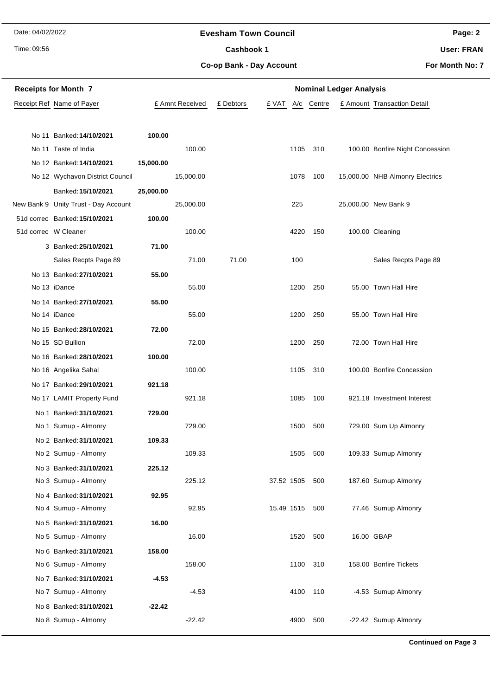Time: 09:56

#### **Evesham Town Council**

Cashbook 1

**Page: 2**

**User: FRAN**

**Co-op Bank - Day Account**

| <b>Receipts for Month 7</b><br><b>Nominal Ledger Analysis</b> |                                      |           |                 |           |                |          |        |  |                                 |
|---------------------------------------------------------------|--------------------------------------|-----------|-----------------|-----------|----------------|----------|--------|--|---------------------------------|
|                                                               | Receipt Ref Name of Payer            |           | £ Amnt Received | £ Debtors | £ VAT          | A/c      | Centre |  | £ Amount Transaction Detail     |
|                                                               |                                      |           |                 |           |                |          |        |  |                                 |
|                                                               | No 11 Banked: 14/10/2021             | 100.00    |                 |           |                |          |        |  |                                 |
|                                                               | No 11 Taste of India                 |           | 100.00          |           |                | 1105     | 310    |  | 100.00 Bonfire Night Concession |
|                                                               | No 12 Banked: 14/10/2021             | 15,000.00 |                 |           |                |          |        |  |                                 |
|                                                               | No 12 Wychavon District Council      |           | 15,000.00       |           |                | 1078     | 100    |  | 15,000.00 NHB Almonry Electrics |
|                                                               | Banked: 15/10/2021                   | 25,000.00 |                 |           |                |          |        |  |                                 |
|                                                               | New Bank 9 Unity Trust - Day Account |           | 25,000.00       |           |                | 225      |        |  | 25,000.00 New Bank 9            |
|                                                               | 51d correc Banked: 15/10/2021        | 100.00    |                 |           |                |          |        |  |                                 |
| 51d correc W Cleaner                                          |                                      |           | 100.00          |           |                | 4220     | 150    |  | 100.00 Cleaning                 |
|                                                               | 3 Banked: 25/10/2021                 | 71.00     |                 |           |                |          |        |  |                                 |
|                                                               | Sales Recpts Page 89                 |           | 71.00           | 71.00     |                | 100      |        |  | Sales Recpts Page 89            |
|                                                               | No 13 Banked: 27/10/2021             | 55.00     |                 |           |                |          |        |  |                                 |
|                                                               | No 13 iDance                         |           | 55.00           |           |                | 1200     | 250    |  | 55.00 Town Hall Hire            |
|                                                               | No 14 Banked: 27/10/2021             | 55.00     |                 |           |                |          |        |  |                                 |
|                                                               | No 14 iDance                         |           | 55.00           |           |                | 1200     | 250    |  | 55.00 Town Hall Hire            |
|                                                               | No 15 Banked: 28/10/2021             | 72.00     |                 |           |                |          |        |  |                                 |
|                                                               | No 15 SD Bullion                     |           | 72.00           |           |                | 1200     | 250    |  | 72.00 Town Hall Hire            |
|                                                               | No 16 Banked: 28/10/2021             | 100.00    |                 |           |                |          |        |  |                                 |
|                                                               | No 16 Angelika Sahal                 |           | 100.00          |           |                | 1105     | 310    |  | 100.00 Bonfire Concession       |
|                                                               | No 17 Banked: 29/10/2021             | 921.18    |                 |           |                |          |        |  |                                 |
|                                                               | No 17 LAMIT Property Fund            |           | 921.18          |           |                | 1085     | 100    |  | 921.18 Investment Interest      |
|                                                               | No 1 Banked: 31/10/2021              | 729.00    |                 |           |                |          |        |  |                                 |
|                                                               | No 1 Sumup - Almonry                 |           | 729.00          |           |                | 1500     | 500    |  | 729.00 Sum Up Almonry           |
|                                                               | No 2 Banked: 31/10/2021              | 109.33    |                 |           |                |          |        |  |                                 |
|                                                               | No 2 Sumup - Almonry                 |           | 109.33          |           |                | 1505 500 |        |  | 109.33 Sumup Almonry            |
|                                                               | No 3 Banked: 31/10/2021              | 225.12    |                 |           |                |          |        |  |                                 |
|                                                               | No 3 Sumup - Almonry                 |           | 225.12          |           | 37.52 1505     |          | 500    |  | 187.60 Sumup Almonry            |
|                                                               | No 4 Banked: 31/10/2021              | 92.95     |                 |           |                |          |        |  |                                 |
|                                                               | No 4 Sumup - Almonry                 |           | 92.95           |           | 15.49 1515 500 |          |        |  | 77.46 Sumup Almonry             |
|                                                               | No 5 Banked: 31/10/2021              | 16.00     |                 |           |                |          |        |  |                                 |
|                                                               | No 5 Sumup - Almonry                 |           | 16.00           |           |                | 1520     | 500    |  | 16.00 GBAP                      |
|                                                               | No 6 Banked: 31/10/2021              | 158.00    |                 |           |                |          |        |  |                                 |
|                                                               | No 6 Sumup - Almonry                 |           | 158.00          |           |                | 1100     | 310    |  | 158.00 Bonfire Tickets          |
|                                                               | No 7 Banked: 31/10/2021              | $-4.53$   |                 |           |                |          |        |  |                                 |
|                                                               | No 7 Sumup - Almonry                 |           | $-4.53$         |           |                | 4100     | 110    |  | -4.53 Sumup Almonry             |
|                                                               | No 8 Banked: 31/10/2021              | $-22.42$  |                 |           |                |          |        |  |                                 |
|                                                               | No 8 Sumup - Almonry                 |           | $-22.42$        |           |                | 4900     | 500    |  | -22.42 Sumup Almonry            |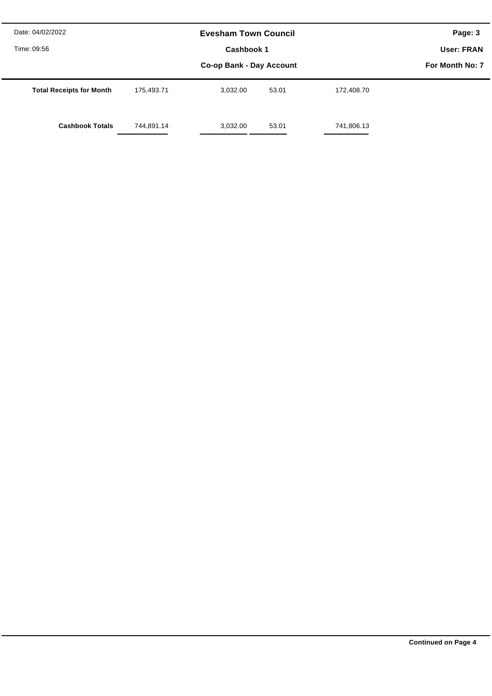| Date: 04/02/2022<br>Time: 09:56 |            | <b>Evesham Town Council</b>            |       |            | Page: 3<br>User: FRAN |  |  |  |  |
|---------------------------------|------------|----------------------------------------|-------|------------|-----------------------|--|--|--|--|
|                                 |            | Cashbook 1<br>Co-op Bank - Day Account |       |            |                       |  |  |  |  |
| <b>Total Receipts for Month</b> | 175.493.71 | 3.032.00                               | 53.01 | 172.408.70 |                       |  |  |  |  |
| <b>Cashbook Totals</b>          | 744,891.14 | 3,032.00                               | 53.01 | 741,806.13 |                       |  |  |  |  |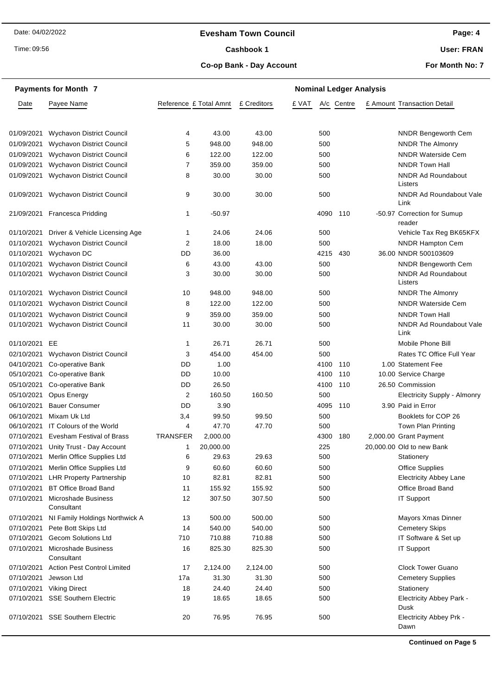#### **Evesham Town Council**

Time: 09:56

#### Cashbook 1

**Page: 4**

**User: FRAN**

#### **Co-op Bank - Day Account**

**For Month No: 7**

|            | <b>Payments for Month 7</b>        |                        |           |             |       |      |            | <b>Nominal Ledger Analysis</b> |                                         |
|------------|------------------------------------|------------------------|-----------|-------------|-------|------|------------|--------------------------------|-----------------------------------------|
| Date       | Payee Name                         | Reference £ Total Amnt |           | £ Creditors | £ VAT |      | A/c Centre |                                | £ Amount Transaction Detail             |
|            |                                    |                        |           |             |       |      |            |                                |                                         |
| 01/09/2021 | Wychavon District Council          | 4                      | 43.00     | 43.00       |       | 500  |            |                                | <b>NNDR Bengeworth Cem</b>              |
| 01/09/2021 | <b>Wychavon District Council</b>   | 5                      | 948.00    | 948.00      |       | 500  |            |                                | <b>NNDR The Almonry</b>                 |
| 01/09/2021 | <b>Wychavon District Council</b>   | 6                      | 122.00    | 122.00      |       | 500  |            |                                | <b>NNDR Waterside Cem</b>               |
| 01/09/2021 | Wychavon District Council          | 7                      | 359.00    | 359.00      |       | 500  |            |                                | <b>NNDR Town Hall</b>                   |
| 01/09/2021 | Wychavon District Council          | 8                      | 30.00     | 30.00       |       | 500  |            |                                | <b>NNDR Ad Roundabout</b><br>Listers    |
| 01/09/2021 | Wychavon District Council          | 9                      | 30.00     | 30.00       |       | 500  |            |                                | NNDR Ad Roundabout Vale<br>Link         |
| 21/09/2021 | <b>Francesca Pridding</b>          | 1                      | $-50.97$  |             |       | 4090 | 110        |                                | -50.97 Correction for Sumup<br>reader   |
| 01/10/2021 | Driver & Vehicle Licensing Age     | 1                      | 24.06     | 24.06       |       | 500  |            |                                | Vehicle Tax Reg BK65KFX                 |
| 01/10/2021 | <b>Wychavon District Council</b>   | 2                      | 18.00     | 18.00       |       | 500  |            |                                | <b>NNDR Hampton Cem</b>                 |
| 01/10/2021 | Wychavon DC                        | DD                     | 36.00     |             |       | 4215 | 430        |                                | 36.00 NNDR 500103609                    |
| 01/10/2021 | Wychavon District Council          | 6                      | 43.00     | 43.00       |       | 500  |            |                                | <b>NNDR Bengeworth Cem</b>              |
| 01/10/2021 | Wychavon District Council          | 3                      | 30.00     | 30.00       |       | 500  |            |                                | <b>NNDR Ad Roundabout</b><br>Listers    |
| 01/10/2021 | Wychavon District Council          | 10                     | 948.00    | 948.00      |       | 500  |            |                                | <b>NNDR The Almonry</b>                 |
| 01/10/2021 | <b>Wychavon District Council</b>   | 8                      | 122.00    | 122.00      |       | 500  |            |                                | <b>NNDR Waterside Cem</b>               |
| 01/10/2021 | <b>Wychavon District Council</b>   | 9                      | 359.00    | 359.00      |       | 500  |            |                                | <b>NNDR Town Hall</b>                   |
| 01/10/2021 | Wychavon District Council          | 11                     | 30.00     | 30.00       |       | 500  |            |                                | NNDR Ad Roundabout Vale<br>Link         |
| 01/10/2021 | EE                                 | 1                      | 26.71     | 26.71       |       | 500  |            |                                | Mobile Phone Bill                       |
| 02/10/2021 | <b>Wychavon District Council</b>   | 3                      | 454.00    | 454.00      |       | 500  |            |                                | Rates TC Office Full Year               |
| 04/10/2021 | Co-operative Bank                  | DD                     | 1.00      |             |       | 4100 | 110        |                                | 1.00 Statement Fee                      |
| 05/10/2021 | Co-operative Bank                  | DD                     | 10.00     |             |       | 4100 | 110        |                                | 10.00 Service Charge                    |
| 05/10/2021 | Co-operative Bank                  | DD                     | 26.50     |             |       | 4100 | 110        |                                | 26.50 Commission                        |
| 05/10/2021 | Opus Energy                        | $\overline{2}$         | 160.50    | 160.50      |       | 500  |            |                                | Electricity Supply - Almonry            |
| 06/10/2021 | <b>Bauer Consumer</b>              | DD                     | 3.90      |             |       | 4095 | 110        |                                | 3.90 Paid in Error                      |
| 06/10/2021 | Mixam Uk Ltd                       | 3,4                    | 99.50     | 99.50       |       | 500  |            |                                | Booklets for COP 26                     |
| 06/10/2021 | IT Colours of the World            | 4                      | 47.70     | 47.70       |       | 500  |            |                                | Town Plan Printing                      |
| 07/10/2021 | Evesham Festival of Brass          | TRANSFER               | 2,000.00  |             |       | 4300 | 180        |                                | 2,000.00 Grant Payment                  |
| 07/10/2021 | Unity Trust - Day Account          | 1                      | 20,000.00 |             |       | 225  |            |                                | 20,000,00 Old to new Bank               |
| 07/10/2021 | Merlin Office Supplies Ltd         | 6                      | 29.63     | 29.63       |       | 500  |            |                                | Stationery                              |
| 07/10/2021 | Merlin Office Supplies Ltd         | 9                      | 60.60     | 60.60       |       | 500  |            |                                | <b>Office Supplies</b>                  |
| 07/10/2021 | <b>LHR Property Partnership</b>    | 10                     | 82.81     | 82.81       |       | 500  |            |                                | <b>Electricity Abbey Lane</b>           |
| 07/10/2021 | <b>BT Office Broad Band</b>        | 11                     | 155.92    | 155.92      |       | 500  |            |                                | Office Broad Band                       |
| 07/10/2021 | Microshade Business<br>Consultant  | 12                     | 307.50    | 307.50      |       | 500  |            |                                | <b>IT Support</b>                       |
| 07/10/2021 | NI Family Holdings Northwick A     | 13                     | 500.00    | 500.00      |       | 500  |            |                                | Mayors Xmas Dinner                      |
| 07/10/2021 | Pete Bott Skips Ltd                | 14                     | 540.00    | 540.00      |       | 500  |            |                                | <b>Cemetery Skips</b>                   |
| 07/10/2021 | Gecom Solutions Ltd                | 710                    | 710.88    | 710.88      |       | 500  |            |                                | IT Software & Set up                    |
| 07/10/2021 | Microshade Business<br>Consultant  | 16                     | 825.30    | 825.30      |       | 500  |            |                                | IT Support                              |
| 07/10/2021 | <b>Action Pest Control Limited</b> | 17                     | 2,124.00  | 2,124.00    |       | 500  |            |                                | <b>Clock Tower Guano</b>                |
| 07/10/2021 | Jewson Ltd                         | 17a                    | 31.30     | 31.30       |       | 500  |            |                                | <b>Cemetery Supplies</b>                |
| 07/10/2021 | <b>Viking Direct</b>               | 18                     | 24.40     | 24.40       |       | 500  |            |                                | Stationery                              |
| 07/10/2021 | <b>SSE Southern Electric</b>       | 19                     | 18.65     | 18.65       |       | 500  |            |                                | <b>Electricity Abbey Park -</b><br>Dusk |
| 07/10/2021 | <b>SSE Southern Electric</b>       | 20                     | 76.95     | 76.95       |       | 500  |            |                                | <b>Electricity Abbey Prk -</b><br>Dawn  |
|            |                                    |                        |           |             |       |      |            |                                |                                         |

**Continued on Page 5**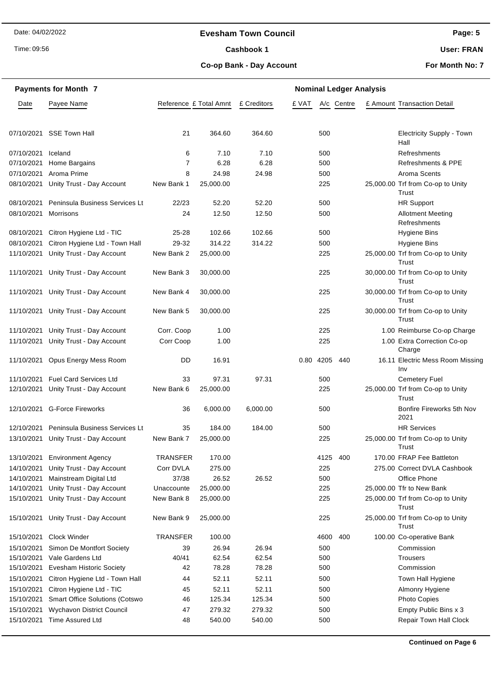#### **Evesham Town Council**

Time: 09:56

#### Cashbook 1

**User: FRAN**

#### **Co-op Bank - Day Account**

**For Month No: 7**

|            | <b>Payments for Month 7</b>           |                        | <b>Nominal Ledger Analysis</b> |             |       |      |            |  |                                            |  |
|------------|---------------------------------------|------------------------|--------------------------------|-------------|-------|------|------------|--|--------------------------------------------|--|
| Date       | Payee Name                            | Reference £ Total Amnt |                                | £ Creditors | £ VAT |      | A/c Centre |  | £ Amount Transaction Detail                |  |
|            |                                       |                        |                                |             |       |      |            |  |                                            |  |
| 07/10/2021 | <b>SSE Town Hall</b>                  | 21                     | 364.60                         | 364.60      |       | 500  |            |  | <b>Electricity Supply - Town</b><br>Hall   |  |
| 07/10/2021 | Iceland                               | 6                      | 7.10                           | 7.10        |       | 500  |            |  | Refreshments                               |  |
| 07/10/2021 | Home Bargains                         | $\overline{7}$         | 6.28                           | 6.28        |       | 500  |            |  | Refreshments & PPE                         |  |
| 07/10/2021 | Aroma Prime                           | 8                      | 24.98                          | 24.98       |       | 500  |            |  | Aroma Scents                               |  |
| 08/10/2021 | Unity Trust - Day Account             | New Bank 1             | 25,000.00                      |             |       | 225  |            |  | 25,000.00 Trf from Co-op to Unity<br>Trust |  |
| 08/10/2021 | <b>Peninsula Business Services Lt</b> | 22/23                  | 52.20                          | 52.20       |       | 500  |            |  | <b>HR Support</b>                          |  |
| 08/10/2021 | Morrisons                             | 24                     | 12.50                          | 12.50       |       | 500  |            |  | <b>Allotment Meeting</b><br>Refreshments   |  |
| 08/10/2021 | Citron Hygiene Ltd - TIC              | $25 - 28$              | 102.66                         | 102.66      |       | 500  |            |  | <b>Hygiene Bins</b>                        |  |
| 08/10/2021 | Citron Hygiene Ltd - Town Hall        | 29-32                  | 314.22                         | 314.22      |       | 500  |            |  | <b>Hygiene Bins</b>                        |  |
| 11/10/2021 | Unity Trust - Day Account             | New Bank 2             | 25,000.00                      |             |       | 225  |            |  | 25,000.00 Trf from Co-op to Unity<br>Trust |  |
| 11/10/2021 | Unity Trust - Day Account             | New Bank 3             | 30,000.00                      |             |       | 225  |            |  | 30,000.00 Trf from Co-op to Unity<br>Trust |  |
| 11/10/2021 | Unity Trust - Day Account             | New Bank 4             | 30,000.00                      |             |       | 225  |            |  | 30,000.00 Trf from Co-op to Unity<br>Trust |  |
| 11/10/2021 | Unity Trust - Day Account             | New Bank 5             | 30,000.00                      |             |       | 225  |            |  | 30,000.00 Trf from Co-op to Unity<br>Trust |  |
| 11/10/2021 | Unity Trust - Day Account             | Corr. Coop             | 1.00                           |             |       | 225  |            |  | 1.00 Reimburse Co-op Charge                |  |
| 11/10/2021 | Unity Trust - Day Account             | Corr Coop              | 1.00                           |             |       | 225  |            |  | 1.00 Extra Correction Co-op<br>Charge      |  |
| 11/10/2021 | Opus Energy Mess Room                 | DD                     | 16.91                          |             | 0.80  | 4205 | 440        |  | 16.11 Electric Mess Room Missing<br>Inv    |  |
| 11/10/2021 | <b>Fuel Card Services Ltd</b>         | 33                     | 97.31                          | 97.31       |       | 500  |            |  | <b>Cemetery Fuel</b>                       |  |
| 12/10/2021 | Unity Trust - Day Account             | New Bank 6             | 25,000.00                      |             |       | 225  |            |  | 25,000.00 Trf from Co-op to Unity<br>Trust |  |
| 12/10/2021 | <b>G-Force Fireworks</b>              | 36                     | 6,000.00                       | 6,000.00    |       | 500  |            |  | Bonfire Fireworks 5th Nov<br>2021          |  |
| 12/10/2021 | <b>Peninsula Business Services Lt</b> | 35                     | 184.00                         | 184.00      |       | 500  |            |  | <b>HR Services</b>                         |  |
| 13/10/2021 | Unity Trust - Day Account             | New Bank 7             | 25,000.00                      |             |       | 225  |            |  | 25,000.00 Trf from Co-op to Unity<br>Trust |  |
| 13/10/2021 | <b>Environment Agency</b>             | <b>TRANSFER</b>        | 170.00                         |             |       | 4125 | 400        |  | 170.00 FRAP Fee Battleton                  |  |
| 14/10/2021 | Unity Trust - Day Account             | Corr DVLA              | 275.00                         |             |       | 225  |            |  | 275.00 Correct DVLA Cashbook               |  |
| 14/10/2021 | Mainstream Digital Ltd                | 37/38                  | 26.52                          | 26.52       |       | 500  |            |  | Office Phone                               |  |
| 14/10/2021 | Unity Trust - Day Account             | Unaccounte             | 25,000.00                      |             |       | 225  |            |  | 25,000.00 Tfr to New Bank                  |  |
| 15/10/2021 | Unity Trust - Day Account             | New Bank 8             | 25,000.00                      |             |       | 225  |            |  | 25,000.00 Trf from Co-op to Unity<br>Trust |  |
| 15/10/2021 | Unity Trust - Day Account             | New Bank 9             | 25,000.00                      |             |       | 225  |            |  | 25,000.00 Trf from Co-op to Unity<br>Trust |  |
| 15/10/2021 | <b>Clock Winder</b>                   | <b>TRANSFER</b>        | 100.00                         |             |       | 4600 | 400        |  | 100.00 Co-operative Bank                   |  |
| 15/10/2021 | Simon De Montfort Society             | 39                     | 26.94                          | 26.94       |       | 500  |            |  | Commission                                 |  |
| 15/10/2021 | Vale Gardens Ltd                      | 40/41                  | 62.54                          | 62.54       |       | 500  |            |  | Trousers                                   |  |
| 15/10/2021 | <b>Evesham Historic Society</b>       | 42                     | 78.28                          | 78.28       |       | 500  |            |  | Commission                                 |  |
| 15/10/2021 | Citron Hygiene Ltd - Town Hall        | 44                     | 52.11                          | 52.11       |       | 500  |            |  | Town Hall Hygiene                          |  |
| 15/10/2021 | Citron Hygiene Ltd - TIC              | 45                     | 52.11                          | 52.11       |       | 500  |            |  | Almonry Hygiene                            |  |
| 15/10/2021 | <b>Smart Office Solutions (Cotswo</b> | 46                     | 125.34                         | 125.34      |       | 500  |            |  | Photo Copies                               |  |
| 15/10/2021 | Wychavon District Council             | 47                     | 279.32                         | 279.32      |       | 500  |            |  | Empty Public Bins x 3                      |  |
| 15/10/2021 | Time Assured Ltd                      | 48                     | 540.00                         | 540.00      |       | 500  |            |  | Repair Town Hall Clock                     |  |

**Continued on Page 6**

**Page: 5**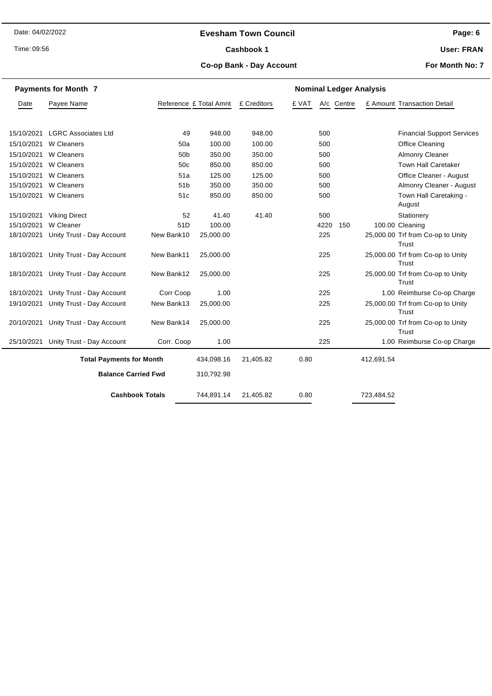#### **Evesham Town Council**

Time: 09:56

#### Cashbook 1

**Page: 6**

**User: FRAN**

#### **Co-op Bank - Day Account**

|            | <b>Payments for Month 7</b>     |                 |                        | <b>Nominal Ledger Analysis</b> |       |            |            |                                            |  |  |  |
|------------|---------------------------------|-----------------|------------------------|--------------------------------|-------|------------|------------|--------------------------------------------|--|--|--|
| Date       | Payee Name                      |                 | Reference £ Total Amnt | £ Creditors                    | £ VAT | A/c Centre |            | £ Amount Transaction Detail                |  |  |  |
| 15/10/2021 | <b>LGRC Associates Ltd</b>      | 49              | 948.00                 | 948.00                         | 500   |            |            | <b>Financial Support Services</b>          |  |  |  |
| 15/10/2021 | W Cleaners                      | 50a             | 100.00                 | 100.00                         | 500   |            |            | <b>Office Cleaning</b>                     |  |  |  |
| 15/10/2021 | W Cleaners                      | 50 <sub>b</sub> | 350.00                 | 350.00                         | 500   |            |            | Almonry Cleaner                            |  |  |  |
| 15/10/2021 | W Cleaners                      | 50 <sub>c</sub> | 850.00                 | 850.00                         | 500   |            |            | <b>Town Hall Caretaker</b>                 |  |  |  |
| 15/10/2021 | W Cleaners                      | 51a             | 125.00                 | 125.00                         | 500   |            |            | Office Cleaner - August                    |  |  |  |
| 15/10/2021 | W Cleaners                      | 51 <sub>b</sub> | 350.00                 | 350.00                         | 500   |            |            | Almonry Cleaner - August                   |  |  |  |
|            | 15/10/2021 W Cleaners           | 51c             | 850.00                 | 850.00                         | 500   |            |            | Town Hall Caretaking -                     |  |  |  |
|            |                                 |                 |                        |                                |       |            |            | August                                     |  |  |  |
| 15/10/2021 | <b>Viking Direct</b>            | 52              | 41.40                  | 41.40                          | 500   |            |            | Stationery                                 |  |  |  |
| 15/10/2021 | W Cleaner                       | 51D             | 100.00                 |                                | 4220  | 150        |            | 100.00 Cleaning                            |  |  |  |
| 18/10/2021 | Unity Trust - Day Account       | New Bank10      | 25,000.00              |                                | 225   |            |            | 25,000.00 Trf from Co-op to Unity<br>Trust |  |  |  |
| 18/10/2021 | Unity Trust - Day Account       | New Bank11      | 25,000.00              |                                | 225   |            |            | 25,000.00 Trf from Co-op to Unity<br>Trust |  |  |  |
| 18/10/2021 | Unity Trust - Day Account       | New Bank12      | 25,000.00              |                                | 225   |            |            | 25,000.00 Trf from Co-op to Unity<br>Trust |  |  |  |
| 18/10/2021 | Unity Trust - Day Account       | Corr Coop       | 1.00                   |                                | 225   |            |            | 1.00 Reimburse Co-op Charge                |  |  |  |
| 19/10/2021 | Unity Trust - Day Account       | New Bank13      | 25,000.00              |                                | 225   |            |            | 25,000.00 Trf from Co-op to Unity<br>Trust |  |  |  |
| 20/10/2021 | Unity Trust - Day Account       | New Bank14      | 25,000.00              |                                | 225   |            |            | 25,000.00 Trf from Co-op to Unity<br>Trust |  |  |  |
| 25/10/2021 | Unity Trust - Day Account       | Corr. Coop      | 1.00                   |                                | 225   |            |            | 1.00 Reimburse Co-op Charge                |  |  |  |
|            | <b>Total Payments for Month</b> |                 | 434,098.16             | 21,405.82                      | 0.80  |            | 412,691.54 |                                            |  |  |  |
|            | <b>Balance Carried Fwd</b>      |                 | 310,792.98             |                                |       |            |            |                                            |  |  |  |
|            | <b>Cashbook Totals</b>          |                 | 744,891.14             | 21,405.82                      | 0.80  |            | 723,484.52 |                                            |  |  |  |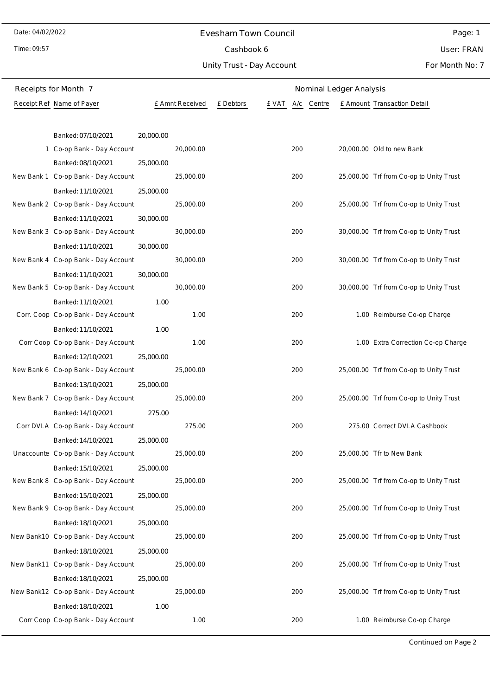#### Evesham Town Council

Time: 09:57

### Cashbook 6

Unity Trust - Day Account

Page: 1 User: FRAN

| Receipts for Month 7                | Nominal Ledger Analysis |                 |                    |     |        |                                         |
|-------------------------------------|-------------------------|-----------------|--------------------|-----|--------|-----------------------------------------|
| Receipt Ref Name of Payer           |                         | £ Amnt Received | £ Debtors<br>e vat | A/c | Centre | £ Amount Transaction Detail             |
|                                     |                         |                 |                    |     |        |                                         |
| Banked: 07/10/2021                  | 20,000.00               |                 |                    |     |        |                                         |
| 1 Co-op Bank - Day Account          |                         | 20,000.00       |                    | 200 |        | 20,000.00 Old to new Bank               |
| Banked: 08/10/2021                  | 25,000.00               |                 |                    |     |        |                                         |
| New Bank 1 Co-op Bank - Day Account |                         | 25,000.00       |                    | 200 |        | 25,000.00 Trf from Co-op to Unity Trust |
| Banked: 11/10/2021                  | 25,000.00               |                 |                    |     |        |                                         |
| New Bank 2 Co-op Bank - Day Account |                         | 25,000.00       |                    | 200 |        | 25,000.00 Trf from Co-op to Unity Trust |
| Banked: 11/10/2021                  | 30,000.00               |                 |                    |     |        |                                         |
| New Bank 3 Co-op Bank - Day Account |                         | 30,000.00       |                    | 200 |        | 30,000.00 Trf from Co-op to Unity Trust |
| Banked: 11/10/2021                  | 30,000.00               |                 |                    |     |        |                                         |
| New Bank 4 Co-op Bank - Day Account |                         | 30,000.00       |                    | 200 |        | 30,000.00 Trf from Co-op to Unity Trust |
| Banked: 11/10/2021                  | 30,000.00               |                 |                    |     |        |                                         |
| New Bank 5 Co-op Bank - Day Account |                         | 30,000.00       |                    | 200 |        | 30,000.00 Trf from Co-op to Unity Trust |
| Banked: 11/10/2021                  | 1.00                    |                 |                    |     |        |                                         |
| Corr. Coop Co-op Bank - Day Account |                         | 1.00            |                    | 200 |        | 1.00 Reimburse Co-op Charge             |
| Banked: 11/10/2021                  | 1.00                    |                 |                    |     |        |                                         |
| Corr Coop Co-op Bank - Day Account  |                         | 1.00            |                    | 200 |        | 1.00 Extra Correction Co-op Charge      |
| Banked: 12/10/2021                  | 25,000.00               |                 |                    |     |        |                                         |
| New Bank 6 Co-op Bank - Day Account |                         | 25,000.00       |                    | 200 |        | 25,000.00 Trf from Co-op to Unity Trust |
| Banked: 13/10/2021                  | 25,000.00               |                 |                    |     |        |                                         |
| New Bank 7 Co-op Bank - Day Account |                         | 25,000.00       |                    | 200 |        | 25,000.00 Trf from Co-op to Unity Trust |
| Banked: 14/10/2021                  | 275.00                  |                 |                    |     |        |                                         |
| Corr DVLA Co-op Bank - Day Account  |                         | 275.00          |                    | 200 |        | 275.00 Correct DVLA Cashbook            |
| Banked: 14/10/2021                  | 25,000.00               |                 |                    |     |        |                                         |
| Unaccounte Co-op Bank - Day Account |                         | 25,000.00       |                    | 200 |        | 25,000.00 Tfr to New Bank               |
| Banked: 15/10/2021                  | 25,000.00               |                 |                    |     |        |                                         |
| New Bank 8 Co-op Bank - Day Account |                         | 25,000.00       |                    | 200 |        | 25,000.00 Trf from Co-op to Unity Trust |
| Banked: 15/10/2021                  | 25,000.00               |                 |                    |     |        |                                         |
| New Bank 9 Co-op Bank - Day Account |                         | 25,000.00       |                    | 200 |        | 25,000.00 Trf from Co-op to Unity Trust |
| Banked: 18/10/2021                  | 25,000.00               |                 |                    |     |        |                                         |
| New Bank10 Co-op Bank - Day Account |                         | 25,000.00       |                    | 200 |        | 25,000.00 Trf from Co-op to Unity Trust |
| Banked: 18/10/2021                  | 25,000.00               |                 |                    |     |        |                                         |
| New Bank11 Co-op Bank - Day Account |                         | 25,000.00       |                    | 200 |        | 25,000.00 Trf from Co-op to Unity Trust |
| Banked: 18/10/2021                  | 25,000.00               |                 |                    |     |        |                                         |
| New Bank12 Co-op Bank - Day Account |                         | 25,000.00       |                    | 200 |        | 25,000.00 Trf from Co-op to Unity Trust |
| Banked: 18/10/2021                  | 1.00                    |                 |                    |     |        |                                         |
| Corr Coop Co-op Bank - Day Account  |                         | 1.00            |                    | 200 |        | 1.00 Reimburse Co-op Charge             |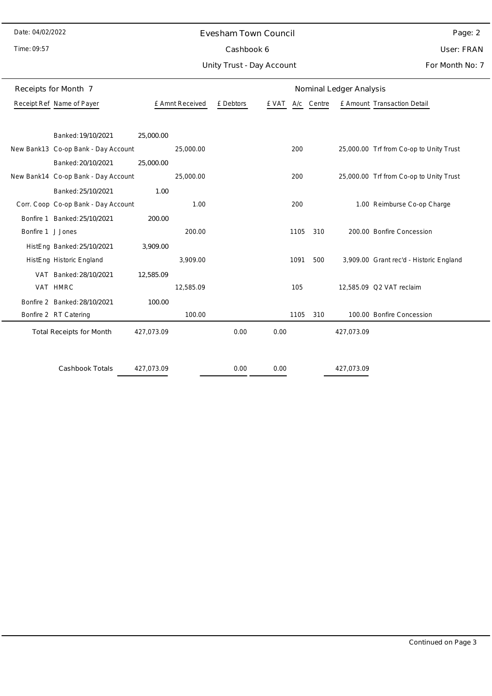#### Evesham Town Council

Time: 09:57

 $\overline{\phantom{0}}$ 

## Cashbook 6

Unity Trust - Day Account

Page: 2 User: FRAN

|                   | Receipts for Month 7                |            |                 |           |       |      |            | Nominal Ledger Analysis |                                         |
|-------------------|-------------------------------------|------------|-----------------|-----------|-------|------|------------|-------------------------|-----------------------------------------|
|                   | Receipt Ref Name of Payer           |            | £ Amnt Received | £ Debtors | £ VAT |      | A/c Centre |                         | £ Amount Transaction Detail             |
|                   |                                     |            |                 |           |       |      |            |                         |                                         |
|                   | Banked: 19/10/2021                  | 25,000.00  |                 |           |       |      |            |                         |                                         |
|                   | New Bank13 Co-op Bank - Day Account |            | 25,000.00       |           |       | 200  |            |                         | 25,000.00 Trf from Co-op to Unity Trust |
|                   | Banked: 20/10/2021                  | 25,000.00  |                 |           |       |      |            |                         |                                         |
|                   | New Bank14 Co-op Bank - Day Account |            | 25,000.00       |           |       | 200  |            |                         | 25,000.00 Trf from Co-op to Unity Trust |
|                   | Banked: 25/10/2021                  | 1.00       |                 |           |       |      |            |                         |                                         |
|                   | Corr. Coop Co-op Bank - Day Account |            | 1.00            |           |       | 200  |            |                         | 1.00 Reimburse Co-op Charge             |
|                   | Bonfire 1 Banked: 25/10/2021        | 200.00     |                 |           |       |      |            |                         |                                         |
| Bonfire 1 J Jones |                                     |            | 200.00          |           |       | 1105 | 310        |                         | 200.00 Bonfire Concession               |
|                   | HistEng Banked: 25/10/2021          | 3,909.00   |                 |           |       |      |            |                         |                                         |
|                   | HistEng Historic England            |            | 3,909.00        |           |       | 1091 | 500        |                         | 3,909.00 Grant rec'd - Historic England |
|                   | VAT Banked: 28/10/2021              | 12,585.09  |                 |           |       |      |            |                         |                                         |
|                   | VAT HMRC                            |            | 12,585.09       |           |       | 105  |            |                         | 12,585.09 Q2 VAT reclaim                |
|                   | Bonfire 2 Banked: 28/10/2021        | 100.00     |                 |           |       |      |            |                         |                                         |
|                   | Bonfire 2 RT Catering               |            | 100.00          |           |       | 1105 | 310        |                         | 100.00 Bonfire Concession               |
|                   | <b>Total Receipts for Month</b>     | 427,073.09 |                 | 0.00      | 0.00  |      |            | 427,073.09              |                                         |
|                   |                                     |            |                 |           |       |      |            |                         |                                         |
|                   | <b>Cashbook Totals</b>              | 427,073.09 |                 | 0.00      | 0.00  |      |            | 427,073.09              |                                         |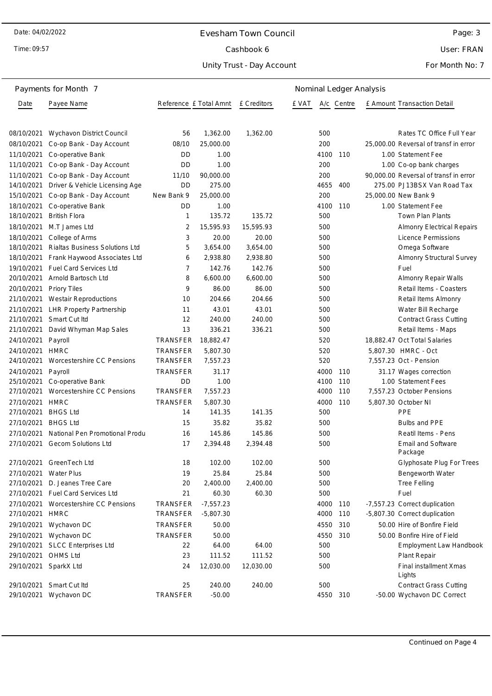#### Evesham Town Council

Time: 09:57

### Cashbook 6

Unity Trust - Day Account

Page: 3

User: FRAN

|            | Payments for Month 7            |                        | Nominal Ledger Analysis |             |       |      |            |  |                                       |
|------------|---------------------------------|------------------------|-------------------------|-------------|-------|------|------------|--|---------------------------------------|
| Date       | Payee Name                      | Reference £ Total Amnt |                         | £ Creditors | E VAT |      | A/c Centre |  | <b>£ Amount Transaction Detail</b>    |
| 08/10/2021 | Wychavon District Council       | 56                     | 1,362.00                | 1,362.00    |       | 500  |            |  | Rates TC Office Full Year             |
| 08/10/2021 | Co-op Bank - Day Account        | 08/10                  | 25,000.00               |             |       | 200  |            |  | 25,000.00 Reversal of transf in error |
| 11/10/2021 | Co-operative Bank               | DD                     | 1.00                    |             |       | 4100 | 110        |  | 1.00 Statement Fee                    |
| 11/10/2021 | Co-op Bank - Day Account        | DD                     | 1.00                    |             |       | 200  |            |  | 1.00 Co-op bank charges               |
| 11/10/2021 | Co-op Bank - Day Account        | 11/10                  | 90,000.00               |             |       | 200  |            |  | 90,000.00 Reversal of transf in error |
| 14/10/2021 | Driver & Vehicle Licensing Age  | DD                     | 275.00                  |             |       | 4655 | 400        |  | 275.00 PJ13BSX Van Road Tax           |
| 15/10/2021 | Co-op Bank - Day Account        | New Bank 9             | 25,000.00               |             |       | 200  |            |  | 25,000.00 New Bank 9                  |
| 18/10/2021 | Co-operative Bank               | DD                     | 1.00                    |             |       | 4100 | 110        |  | 1.00 Statement Fee                    |
| 18/10/2021 | <b>British Flora</b>            | 1                      | 135.72                  | 135.72      |       | 500  |            |  | <b>Town Plan Plants</b>               |
| 18/10/2021 | M.T James Ltd                   | 2                      | 15,595.93               | 15,595.93   |       | 500  |            |  | <b>Almonry Electrical Repairs</b>     |
| 18/10/2021 | College of Arms                 | 3                      | 20.00                   | 20.00       |       | 500  |            |  | Licence Permissions                   |
| 18/10/2021 | Rialtas Business Solutions Ltd  | 5                      | 3,654.00                | 3,654.00    |       | 500  |            |  | Omega Software                        |
| 18/10/2021 | Frank Haywood Associates Ltd    | 6                      | 2,938.80                | 2,938.80    |       | 500  |            |  | Almonry Structural Survey             |
| 19/10/2021 | <b>Fuel Card Services Ltd</b>   | 7                      | 142.76                  | 142.76      |       | 500  |            |  | Fuel                                  |
| 20/10/2021 | Arnold Bartosch Ltd             | 8                      | 6,600.00                | 6,600.00    |       | 500  |            |  | Almonry Repair Walls                  |
| 20/10/2021 | Priory Tiles                    | 9                      | 86.00                   | 86.00       |       | 500  |            |  | Retail Items - Coasters               |
| 21/10/2021 | <b>Westair Reproductions</b>    | 10                     | 204.66                  | 204.66      |       | 500  |            |  | Retail Items Almonry                  |
| 21/10/2021 | <b>LHR Property Partnership</b> | 11                     | 43.01                   | 43.01       |       | 500  |            |  | Water Bill Recharge                   |
| 21/10/2021 | Smart Cut Itd                   | 12                     | 240.00                  | 240.00      |       | 500  |            |  | <b>Contract Grass Cutting</b>         |
| 21/10/2021 | David Whyman Map Sales          | 13                     | 336.21                  | 336.21      |       | 500  |            |  | Retail Items - Maps                   |
| 24/10/2021 | Payroll                         | TRANSFER               | 18,882.47               |             |       | 520  |            |  | 18,882.47 Oct Total Salaries          |
| 24/10/2021 | <b>HMRC</b>                     | <b>TRANSFER</b>        | 5,807.30                |             |       | 520  |            |  | 5,807.30 HMRC - Oct                   |
| 24/10/2021 | Worcestershire CC Pensions      | <b>TRANSFER</b>        | 7,557.23                |             |       | 520  |            |  | 7,557.23 Oct - Pension                |
| 24/10/2021 | Payroll                         | TRANSFER               | 31.17                   |             |       | 4000 | 110        |  | 31.17 Wages correction                |
| 25/10/2021 | Co-operative Bank               | DD                     | 1.00                    |             |       | 4100 | 110        |  | 1.00 Statement Fees                   |
| 27/10/2021 | Worcestershire CC Pensions      | TRANSFER               | 7,557.23                |             |       | 4000 | 110        |  | 7,557.23 October Pensions             |
| 27/10/2021 | <b>HMRC</b>                     | <b>TRANSFER</b>        | 5,807.30                |             |       | 4000 | 110        |  | 5,807.30 October NI                   |
| 27/10/2021 | <b>BHGS Ltd</b>                 | 14                     | 141.35                  | 141.35      |       | 500  |            |  | PPE                                   |
| 27/10/2021 | <b>BHGS Ltd</b>                 | 15                     | 35.82                   | 35.82       |       | 500  |            |  | <b>Bulbs and PPE</b>                  |
| 27/10/2021 | National Pen Promotional Produ  | 16                     | 145.86                  | 145.86      |       | 500  |            |  | Reatil Items - Pens                   |
| 27/10/2021 | <b>Gecom Solutions Ltd</b>      | 17                     | 2,394.48                | 2,394.48    |       | 500  |            |  | <b>Email and Software</b><br>Package  |
|            | 27/10/2021 GreenTech Ltd        | 18                     | 102.00                  | 102.00      |       | 500  |            |  | Glyphosate Plug For Trees             |
| 27/10/2021 | <b>Water Plus</b>               | 19                     | 25.84                   | 25.84       |       | 500  |            |  | Bengeworth Water                      |
| 27/10/2021 | D. Jeanes Tree Care             | 20                     | 2,400.00                | 2,400.00    |       | 500  |            |  | <b>Tree Felling</b>                   |
| 27/10/2021 | Fuel Card Services Ltd          | 21                     | 60.30                   | 60.30       |       | 500  |            |  | Fuel                                  |
| 27/10/2021 | Worcestershire CC Pensions      | <b>TRANSFER</b>        | $-7,557.23$             |             |       | 4000 | 110        |  | -7,557.23 Correct duplication         |
| 27/10/2021 | <b>HMRC</b>                     | TRANSFER               | $-5,807.30$             |             |       | 4000 | 110        |  | -5,807.30 Correct duplication         |
|            | 29/10/2021 Wychavon DC          | TRANSFER               | 50.00                   |             |       | 4550 | 310        |  | 50.00 Hire of Bonfire Field           |
| 29/10/2021 | Wychavon DC                     | TRANSFER               | 50.00                   |             |       | 4550 | 310        |  | 50.00 Bonfire Hire of Field           |
| 29/10/2021 | SLCC Enterprises Ltd            | 22                     | 64.00                   | 64.00       |       | 500  |            |  | <b>Employment Law Handbook</b>        |
| 29/10/2021 | <b>OHMS Ltd</b>                 | 23                     | 111.52                  | 111.52      |       | 500  |            |  | Plant Repair                          |
| 29/10/2021 | SparkX Ltd                      | 24                     | 12,030.00               | 12,030.00   |       | 500  |            |  | Final installment Xmas<br>Lights      |
| 29/10/2021 | Smart Cut Itd                   | 25                     | 240.00                  | 240.00      |       | 500  |            |  | <b>Contract Grass Cutting</b>         |
| 29/10/2021 | Wychavon DC                     | TRANSFER               | $-50.00$                |             |       | 4550 | 310        |  | -50.00 Wychavon DC Correct            |